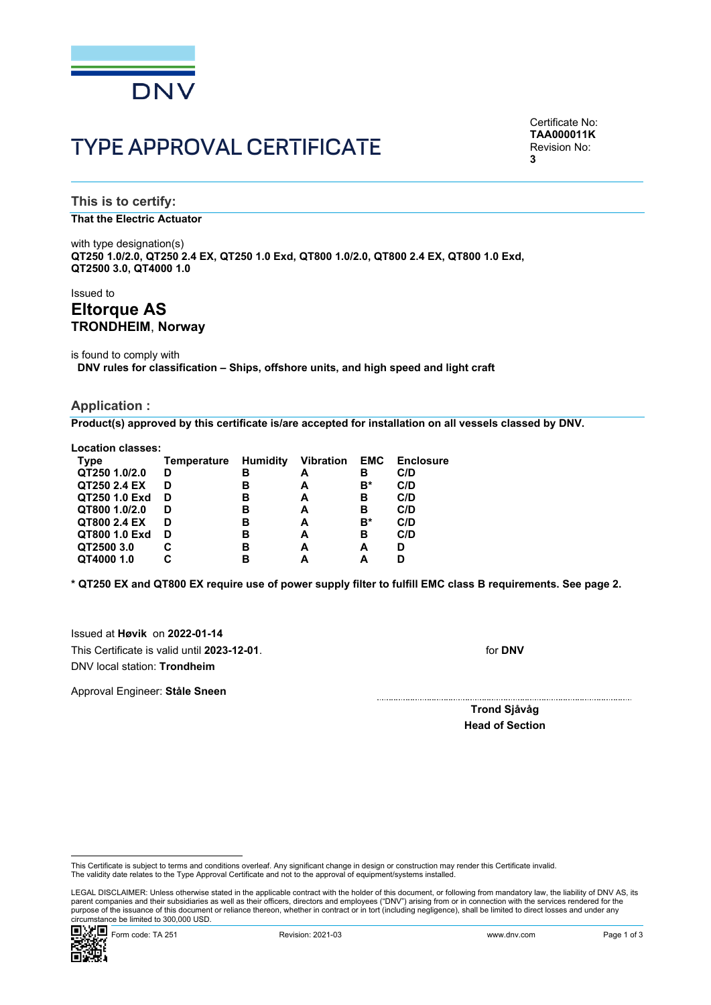

# TYPE APPROVAL CERTIFICATE

Certificate No: **TAA000011K** Revision No: **3**

**This is to certify:**

#### **That the Electric Actuator**

with type designation(s) **QT250 1.0/2.0, QT250 2.4 EX, QT250 1.0 Exd, QT800 1.0/2.0, QT800 2.4 EX, QT800 1.0 Exd, QT2500 3.0, QT4000 1.0**

Issued to

# **Eltorque AS TRONDHEIM**, **Norway**

is found to comply with **DNV rules for classification – Ships, offshore units, and high speed and light craft**

#### **Application :**

**Product(s) approved by this certificate is/are accepted for installation on all vessels classed by DNV.**

**Location classes:**

| Type          | Temperature | Humidity | Vibration EMC |    | <b>Enclosure</b> |
|---------------|-------------|----------|---------------|----|------------------|
| QT250 1.0/2.0 | D           | в        | A             | в  | C/D              |
| QT250 2.4 EX  | D           | в        | А             | B* | C/D              |
| QT250 1.0 Exd | D           | в        | А             | в  | C/D              |
| QT800 1.0/2.0 | D           | в        | А             | в  | C/D              |
| QT800 2.4 EX  | D           | в        | A             | B* | C/D              |
| QT800 1.0 Exd | D           | в        | А             | в  | C/D              |
| QT2500 3.0    | С           | в        | А             | А  | D                |
| QT4000 1.0    |             | в        |               | А  |                  |
|               |             |          |               |    |                  |

**\* QT250 EX and QT800 EX require use of power supply filter to fulfill EMC class B requirements. See page 2.**

Issued at **Høvik** on **2022-01-14** This Certificate is valid until **2023-12-01**. DNV local station: **Trondheim**

for **DNV**

Approval Engineer: **Ståle Sneen**

**Trond Sjåvåg Head of Section**

 LEGAL DISCLAIMER: Unless otherwise stated in the applicable contract with the holder of this document, or following from mandatory law, the liability of DNV AS, its parent companies and their subsidiaries as well as their officers, directors and employees ("DNV") arising from or in connection with the services rendered for the purpose of the issuance of this document or reliance thereon, whether in contract or in tort (including negligence), shall be limited to direct losses and under any circumstance be limited to 300,000 USD.



This Certificate is subject to terms and conditions overleaf. Any significant change in design or construction may render this Certificate invalid.<br>The validity date relates to the Type Approval Certificate and not to the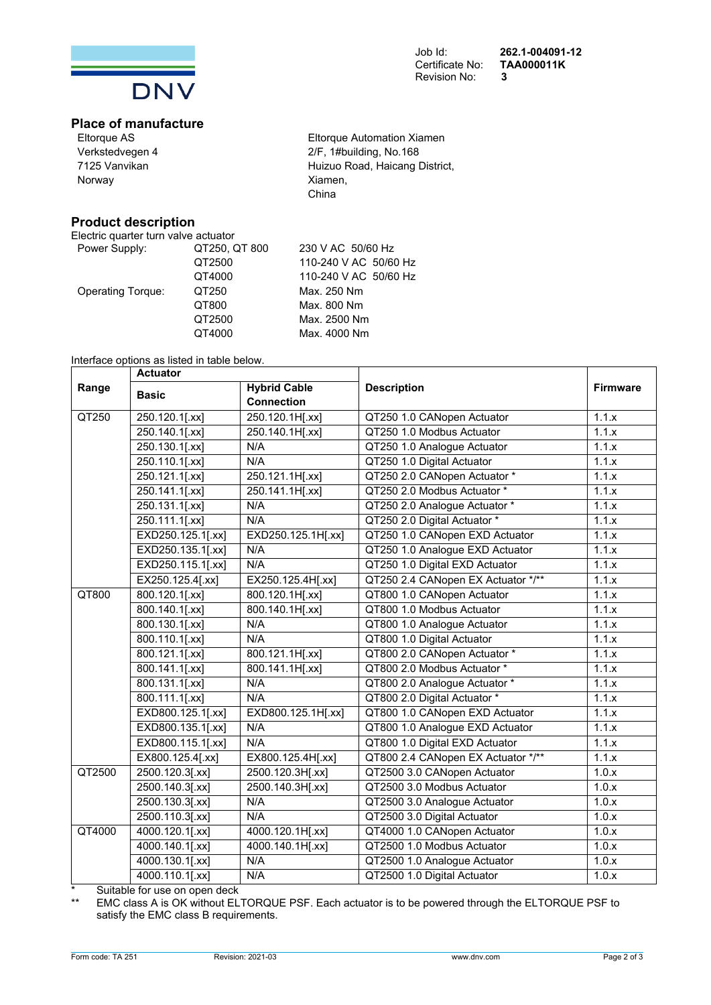

# Revision No:

Job Id: **262.1-004091-12**  Certificate No: **TAA000011K**

# **Place of manufacture**

Eltorque AS Verkstedvegen 4 7125 Vanvikan Norway

# **Product description**

Electric quarter turn valve actuator<br>Power Supply: QT250, Q

Power Supply: QT250 QT400 Operating Torque: QT250 QT800 QT250  $QT400$ 

Eltorque Automation Xiamen 2/F, 1#building, No.168 Huizuo Road, Haicang District, Xiamen, China

| . QT 800 | 230 V AC 50/60 Hz     |
|----------|-----------------------|
| 0        | 110-240 V AC 50/60 Hz |
| 0        | 110-240 V AC 50/60 Hz |
|          | Max. 250 Nm           |
|          | Max. 800 Nm           |
| 0        | Max. 2500 Nm          |
| 0        | Max. 4000 Nm          |
|          |                       |

#### Interface options as listed in table below.

| <b>Actuator</b> |                   |                               |                                    |                 |
|-----------------|-------------------|-------------------------------|------------------------------------|-----------------|
| Range           | <b>Basic</b>      | <b>Hybrid Cable</b>           | <b>Description</b>                 | <b>Firmware</b> |
|                 |                   | <b>Connection</b>             |                                    |                 |
| QT250           | 250.120.1[.xx]    | 250.120.1H[.xx]               | QT250 1.0 CANopen Actuator         | 1.1.x           |
|                 | 250.140.1[.xx]    | 250.140.1H[.xx]               | QT250 1.0 Modbus Actuator          | 1.1.x           |
|                 | 250.130.1[.xx]    | N/A                           | QT250 1.0 Analogue Actuator        | 1.1.x           |
|                 | 250.110.1[.xx]    | N/A                           | QT250 1.0 Digital Actuator         | 1.1.x           |
|                 | 250.121.1[.xx]    | 250.121.1H[.xx]               | QT250 2.0 CANopen Actuator *       | 1.1.x           |
|                 | 250.141.1[.xx]    | 250.141.1H[.xx]               | QT250 2.0 Modbus Actuator *        | 1.1.x           |
|                 | 250.131.1[.xx]    | N/A                           | QT250 2.0 Analogue Actuator *      | 1.1.x           |
|                 | 250.111.1[.xx]    | N/A                           | QT250 2.0 Digital Actuator *       | 1.1.x           |
|                 | EXD250.125.1[.xx] | EXD250.125.1H[.xx]            | QT250 1.0 CANopen EXD Actuator     | 1.1.x           |
|                 | EXD250.135.1[.xx] | N/A                           | QT250 1.0 Analogue EXD Actuator    | 1.1.x           |
|                 | EXD250.115.1[.xx] | N/A                           | QT250 1.0 Digital EXD Actuator     | 1.1.x           |
|                 | EX250.125.4[.xx]  | EX250.125.4H[.xx]             | QT250 2.4 CANopen EX Actuator */** | 1.1.x           |
| QT800           | $800.120.1$ [.xx] | 800.120.1H[.xx]               | QT800 1.0 CANopen Actuator         | 1.1.x           |
|                 | $800.140.1$ [.xx] | $\overline{800.140.1H}$ [.xx] | QT800 1.0 Modbus Actuator          | 1.1.x           |
|                 | 800.130.1[.xx]    | N/A                           | QT800 1.0 Analogue Actuator        | 1.1.x           |
|                 | 800.110.1[.xx]    | N/A                           | QT800 1.0 Digital Actuator         | 1.1.x           |
|                 | 800.121.1[.xx]    | 800.121.1H[.xx]               | QT800 2.0 CANopen Actuator *       | 1.1.x           |
|                 | 800.141.1[.xx]    | 800.141.1H[.xx]               | QT800 2.0 Modbus Actuator *        | 1.1.x           |
|                 | 800.131.1[.xx]    | N/A                           | QT800 2.0 Analogue Actuator *      | 1.1.x           |
|                 | 800.111.1[.xx]    | N/A                           | QT800 2.0 Digital Actuator *       | 1.1.x           |
|                 | EXD800.125.1[.xx] | EXD800.125.1H[.xx]            | QT800 1.0 CANopen EXD Actuator     | 1.1.x           |
|                 | EXD800.135.1[.xx] | N/A                           | QT800 1.0 Analogue EXD Actuator    | 1.1.x           |
|                 | EXD800.115.1[.xx] | N/A                           | QT800 1.0 Digital EXD Actuator     | 1.1.x           |
|                 | EX800.125.4[.xx]  | EX800.125.4H[.xx]             | QT800 2.4 CANopen EX Actuator */** | 1.1.x           |
| QT2500          | 2500.120.3[.xx]   | 2500.120.3H[.xx]              | QT2500 3.0 CANopen Actuator        | 1.0.x           |
|                 | 2500.140.3[.xx]   | 2500.140.3H[.xx]              | QT2500 3.0 Modbus Actuator         | 1.0.x           |
|                 | 2500.130.3[.xx]   | N/A                           | QT2500 3.0 Analogue Actuator       | 1.0.x           |
|                 | 2500.110.3[.xx]   | N/A                           | QT2500 3.0 Digital Actuator        | 1.0.x           |
| QT4000          | 4000.120.1[.xx]   | 4000.120.1H[.xx]              | QT4000 1.0 CANopen Actuator        | 1.0.x           |
|                 | 4000.140.1[.xx]   | 4000.140.1H[.xx]              | QT2500 1.0 Modbus Actuator         | 1.0.x           |
|                 | 4000.130.1[.xx]   | N/A                           | QT2500 1.0 Analogue Actuator       | 1.0.x           |
|                 | 4000.110.1[.xx]   | N/A                           | QT2500 1.0 Digital Actuator        | 1.0.x           |

\* Suitable for use on open deck

EMC class A is OK without ELTORQUE PSF. Each actuator is to be powered through the ELTORQUE PSF to satisfy the EMC class B requirements.